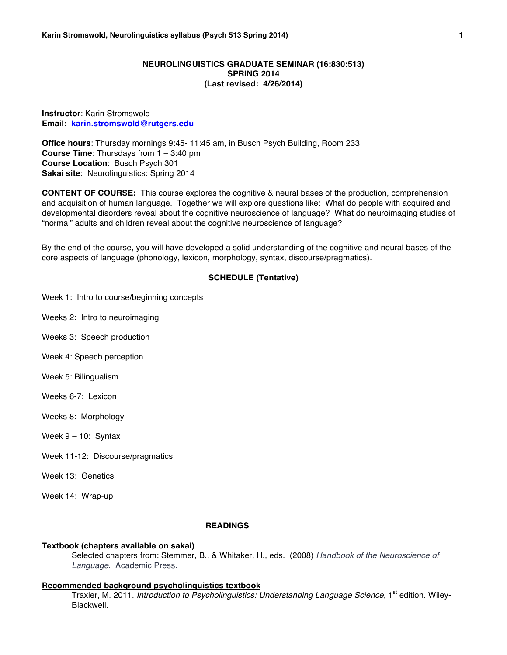# **NEUROLINGUISTICS GRADUATE SEMINAR (16:830:513) SPRING 2014 (Last revised: 4/26/2014)**

**Instructor**: Karin Stromswold **Email: karin.stromswold@rutgers.edu**

**Office hours**: Thursday mornings 9:45- 11:45 am, in Busch Psych Building, Room 233 **Course Time**: Thursdays from 1 – 3:40 pm **Course Location**: Busch Psych 301 **Sakai site**: Neurolinguistics: Spring 2014

**CONTENT OF COURSE:** This course explores the cognitive & neural bases of the production, comprehension and acquisition of human language. Together we will explore questions like: What do people with acquired and developmental disorders reveal about the cognitive neuroscience of language? What do neuroimaging studies of "normal" adults and children reveal about the cognitive neuroscience of language?

By the end of the course, you will have developed a solid understanding of the cognitive and neural bases of the core aspects of language (phonology, lexicon, morphology, syntax, discourse/pragmatics).

## **SCHEDULE (Tentative)**

Week 1: Intro to course/beginning concepts

Weeks 2: Intro to neuroimaging

Weeks 3: Speech production

Week 4: Speech perception

Week 5: Bilingualism

Weeks 6-7: Lexicon

Weeks 8: Morphology

Week 9 – 10: Syntax

Week 11-12: Discourse/pragmatics

Week 13: Genetics

Week 14: Wrap-up

#### **READINGS**

#### **Textbook (chapters available on sakai)**

Selected chapters from: Stemmer, B., & Whitaker, H., eds. (2008) *Handbook of the Neuroscience of Language*. Academic Press.

### **Recommended background psycholinguistics textbook**

Traxler, M. 2011. *Introduction to Psycholinguistics: Understanding Language Science*, 1<sup>st</sup> edition. Wiley-Blackwell.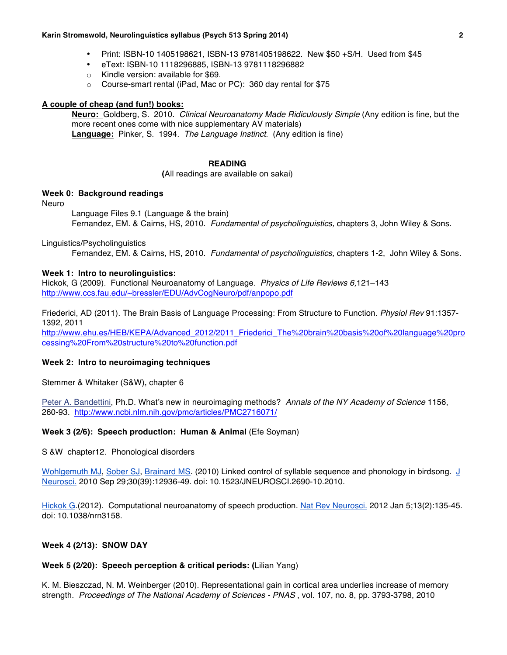### **Karin Stromswold, Neurolinguistics syllabus (Psych 513 Spring 2014) 2**

- Print: ISBN-10 1405198621, ISBN-13 9781405198622. New \$50 +S/H. Used from \$45
- eText: ISBN-10 1118296885, ISBN-13 9781118296882
- o Kindle version: available for \$69.
- o Course-smart rental (iPad, Mac or PC): 360 day rental for \$75

# **A couple of cheap (and fun!) books:**

**Neuro:** Goldberg, S. 2010. *Clinical Neuroanatomy Made Ridiculously Simple* (Any edition is fine, but the more recent ones come with nice supplementary AV materials) **Language:** Pinker, S. 1994. *The Language Instinct.* (Any edition is fine)

## **READING**

**(**All readings are available on sakai)

# **Week 0: Background readings**

## Neuro

Language Files 9.1 (Language & the brain) Fernandez, EM. & Cairns, HS, 2010. *Fundamental of psycholinguistics,* chapters 3, John Wiley & Sons.

# Linguistics/Psycholinguistics

Fernandez, EM. & Cairns, HS, 2010. *Fundamental of psycholinguistics,* chapters 1-2, John Wiley & Sons.

## **Week 1: Intro to neurolinguistics:**

Hickok, G (2009). Functional Neuroanatomy of Language. *Physics of Life Reviews 6,*121–143 http://www.ccs.fau.edu/~bressler/EDU/AdvCogNeuro/pdf/anpopo.pdf

Friederici, AD (2011). The Brain Basis of Language Processing: From Structure to Function. *Physiol Rev* 91:1357- 1392, 2011

http://www.ehu.es/HEB/KEPA/Advanced\_2012/2011\_Friederici\_The%20brain%20basis%20of%20language%20pro cessing%20From%20structure%20to%20function.pdf

# **Week 2: Intro to neuroimaging techniques**

Stemmer & Whitaker (S&W), chapter 6

Peter A. Bandettini, Ph.D. What's new in neuroimaging methods? *Annals of the NY Academy of Science* 1156, 260-93. http://www.ncbi.nlm.nih.gov/pmc/articles/PMC2716071/

# **Week 3 (2/6): Speech production: Human & Animal** (Efe Soyman)

S &W chapter12. Phonological disorders

Wohlgemuth MJ, Sober SJ, Brainard MS. (2010) Linked control of syllable sequence and phonology in birdsong. J Neurosci. 2010 Sep 29;30(39):12936-49. doi: 10.1523/JNEUROSCI.2690-10.2010.

Hickok G.(2012). Computational neuroanatomy of speech production. Nat Rev Neurosci. 2012 Jan 5;13(2):135-45. doi: 10.1038/nrn3158.

# **Week 4 (2/13): SNOW DAY**

# **Week 5 (2/20): Speech perception & critical periods: (**Lilian Yang)

K. M. Bieszczad, N. M. Weinberger (2010). Representational gain in cortical area underlies increase of memory strength. *Proceedings of The National Academy of Sciences - PNAS* , vol. 107, no. 8, pp. 3793-3798, 2010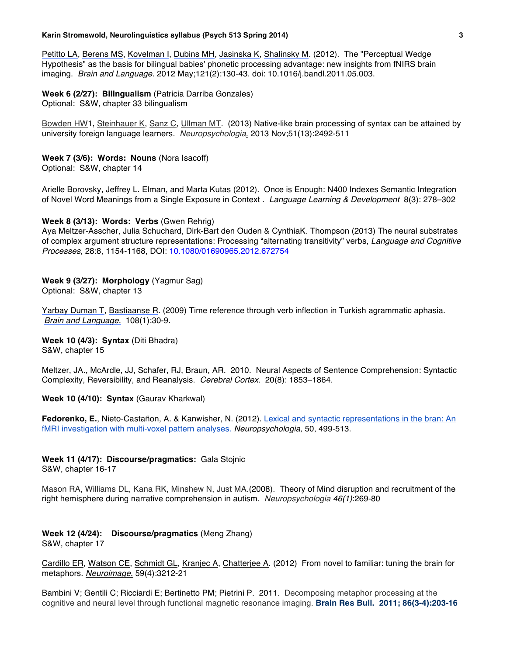### **Karin Stromswold, Neurolinguistics syllabus (Psych 513 Spring 2014) 3**

Petitto LA, Berens MS, Kovelman I, Dubins MH, Jasinska K, Shalinsky M. (2012). The "Perceptual Wedge Hypothesis" as the basis for bilingual babies' phonetic processing advantage: new insights from fNIRS brain imaging.*Brain and Language*. 2012 May;121(2):130-43. doi: 10.1016/j.bandl.2011.05.003.

# **Week 6 (2/27): Bilingualism** (Patricia Darriba Gonzales)

Optional: S&W, chapter 33 bilingualism

Bowden HW1, Steinhauer K, Sanz C, Ullman MT. (2013) Native-like brain processing of syntax can be attained by university foreign language learners. *Neuropsychologia*. 2013 Nov;51(13):2492-511

# **Week 7 (3/6): Words: Nouns** (Nora Isacoff)

Optional: S&W, chapter 14

Arielle Borovsky, Jeffrey L. Elman, and Marta Kutas (2012). Once is Enough: N400 Indexes Semantic Integration of Novel Word Meanings from a Single Exposure in Context . *Language Learning & Development* 8(3): 278–302

# **Week 8 (3/13): Words: Verbs** (Gwen Rehrig)

Aya Meltzer-Asscher, Julia Schuchard, Dirk-Bart den Ouden & CynthiaK. Thompson (2013) The neural substrates of complex argument structure representations: Processing "alternating transitivity" verbs, *Language and Cognitive Processes*, 28:8, 1154-1168, DOI: 10.1080/01690965.2012.672754

## **Week 9 (3/27): Morphology** (Yagmur Sag)

Optional: S&W, chapter 13

Yarbay Duman T, Bastiaanse R. (2009) Time reference through verb inflection in Turkish agrammatic aphasia. *Brain and Language.* 108(1):30-9.

**Week 10 (4/3): Syntax** (Diti Bhadra) S&W, chapter 15

Meltzer, JA., McArdle, JJ, Schafer, RJ, Braun, AR. 2010. Neural Aspects of Sentence Comprehension: Syntactic Complexity, Reversibility, and Reanalysis. *Cerebral Cortex.* 20(8): 1853–1864.

**Week 10 (4/10): Syntax** (Gaurav Kharkwal)

**Fedorenko, E.**, Nieto-Castañon, A. & Kanwisher, N. (2012). Lexical and syntactic representations in the bran: An fMRI investigation with multi-voxel pattern analyses. *Neuropsychologia,* 50, 499-513.

# **Week 11 (4/17): Discourse/pragmatics:** Gala Stojnic

S&W, chapter 16-17

Mason RA, Williams DL, Kana RK, Minshew N, Just MA.(2008). Theory of Mind disruption and recruitment of the right hemisphere during narrative comprehension in autism. *Neuropsychologia 46(1)*:269-80

### **Week 12 (4/24): Discourse/pragmatics** (Meng Zhang) S&W, chapter 17

Cardillo ER, Watson CE, Schmidt GL, Kranjec A, Chatterjee A. (2012) From novel to familiar: tuning the brain for metaphors. *Neuroimage*. 59(4):3212-21

Bambini V; Gentili C; Ricciardi E; Bertinetto PM; Pietrini P. 2011. Decomposing metaphor processing at the cognitive and neural level through functional magnetic resonance imaging. **Brain Res Bull. 2011; 86(3-4):203-16**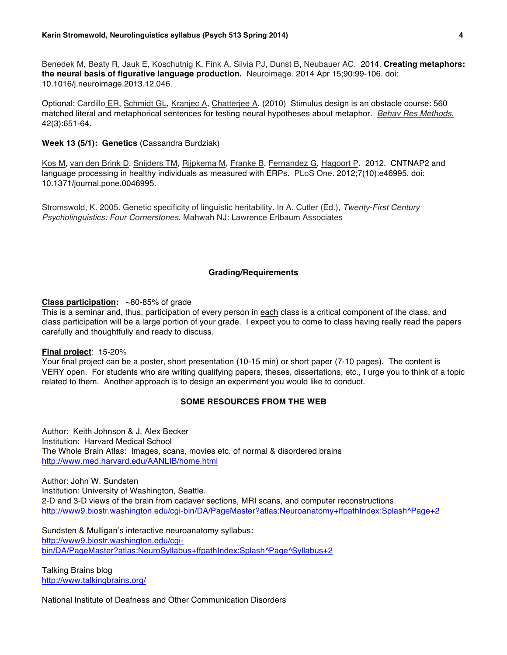Benedek M, Beaty R, Jauk E, Koschutnig K, Fink A, Silvia PJ, Dunst B, Neubauer AC. 2014. **Creating metaphors: the neural basis of figurative language production.** Neuroimage. 2014 Apr 15;90:99-106. doi: 10.1016/j.neuroimage.2013.12.046.

Optional: Cardillo ER, Schmidt GL, Kranjec A, Chatterjee A. (2010) Stimulus design is an obstacle course: 560 matched literal and metaphorical sentences for testing neural hypotheses about metaphor. *Behav Res Methods*. 42(3):651-64.

### **Week 13 (5/1): Genetics** (Cassandra Burdziak)

Kos M, van den Brink D, Snijders TM, Rijpkema M, Franke B, Fernandez G, Hagoort P. 2012. CNTNAP2 and language processing in healthy individuals as measured with ERPs. PLoS One. 2012;7(10):e46995. doi: 10.1371/journal.pone.0046995.

Stromswold, K. 2005. Genetic specificity of linguistic heritability. In A. Cutler (Ed.), *Twenty-First Century Psycholinguistics: Four Cornerstones*. Mahwah NJ: Lawrence Erlbaum Associates

### **Grading/Requirements**

**Class participation:** ~80-85% of grade

This is a seminar and, thus, participation of every person in each class is a critical component of the class, and class participation will be a large portion of your grade. I expect you to come to class having really read the papers carefully and thoughtfully and ready to discuss.

### **Final project**: 15-20%

Your final project can be a poster, short presentation (10-15 min) or short paper (7-10 pages). The content is VERY open. For students who are writing qualifying papers, theses, dissertations, etc., I urge you to think of a topic related to them. Another approach is to design an experiment you would like to conduct.

# **SOME RESOURCES FROM THE WEB**

Author: Keith Johnson & J. Alex Becker Institution: Harvard Medical School The Whole Brain Atlas: Images, scans, movies etc. of normal & disordered brains http://www.med.harvard.edu/AANLIB/home.html

Author: John W. Sundsten Institution: University of Washington, Seattle. 2-D and 3-D views of the brain from cadaver sections, MRI scans, and computer reconstructions. http://www9.biostr.washington.edu/cgi-bin/DA/PageMaster?atlas:Neuroanatomy+ffpathIndex:Splash^Page+2

Sundsten & Mulligan's interactive neuroanatomy syllabus: http://www9.biostr.washington.edu/cgibin/DA/PageMaster?atlas:NeuroSyllabus+ffpathIndex:Splash^Page^Syllabus+2

Talking Brains blog http://www.talkingbrains.org/

National Institute of Deafness and Other Communication Disorders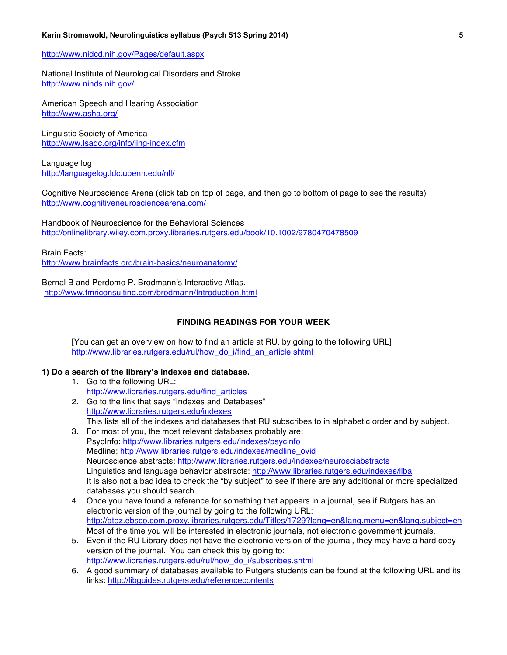### **Karin Stromswold, Neurolinguistics syllabus (Psych 513 Spring 2014) 5**

# http://www.nidcd.nih.gov/Pages/default.aspx

National Institute of Neurological Disorders and Stroke http://www.ninds.nih.gov/

American Speech and Hearing Association http://www.asha.org/

Linguistic Society of America http://www.lsadc.org/info/ling-index.cfm

Language log http://languagelog.ldc.upenn.edu/nll/

Cognitive Neuroscience Arena (click tab on top of page, and then go to bottom of page to see the results) http://www.cognitiveneurosciencearena.com/

Handbook of Neuroscience for the Behavioral Sciences http://onlinelibrary.wiley.com.proxy.libraries.rutgers.edu/book/10.1002/9780470478509

Brain Facts: http://www.brainfacts.org/brain-basics/neuroanatomy/

Bernal B and Perdomo P. Brodmann's Interactive Atlas. http://www.fmriconsulting.com/brodmann/Introduction.html

### **FINDING READINGS FOR YOUR WEEK**

[You can get an overview on how to find an article at RU, by going to the following URL] http://www.libraries.rutgers.edu/rul/how\_do\_i/find\_an\_article.shtml

# **1) Do a search of the library's indexes and database.**

- 1. Go to the following URL: http://www.libraries.rutgers.edu/find\_articles
- 2. Go to the link that says "Indexes and Databases" http://www.libraries.rutgers.edu/indexes This lists all of the indexes and databases that RU subscribes to in alphabetic order and by subject.
- 3. For most of you, the most relevant databases probably are: PsycInfo: http://www.libraries.rutgers.edu/indexes/psycinfo Medline: http://www.libraries.rutgers.edu/indexes/medline\_ovid Neuroscience abstracts: http://www.libraries.rutgers.edu/indexes/neurosciabstracts Linguistics and language behavior abstracts: http://www.libraries.rutgers.edu/indexes/llba It is also not a bad idea to check the "by subject" to see if there are any additional or more specialized databases you should search.
- 4. Once you have found a reference for something that appears in a journal, see if Rutgers has an electronic version of the journal by going to the following URL: http://atoz.ebsco.com.proxy.libraries.rutgers.edu/Titles/1729?lang=en&lang.menu=en&lang.subject=en Most of the time you will be interested in electronic journals, not electronic government journals.
- 5. Even if the RU Library does not have the electronic version of the journal, they may have a hard copy version of the journal. You can check this by going to: http://www.libraries.rutgers.edu/rul/how\_do\_i/subscribes.shtml
- 6. A good summary of databases available to Rutgers students can be found at the following URL and its links: http://libguides.rutgers.edu/referencecontents